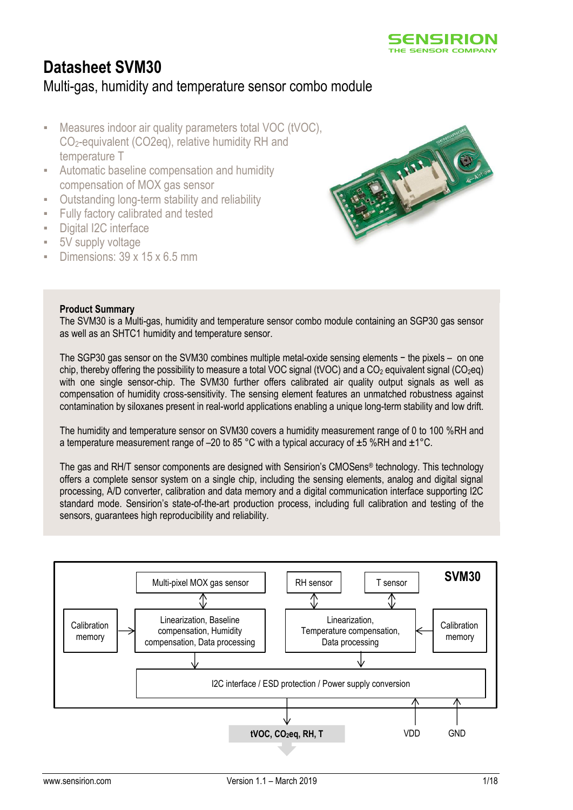

# **Datasheet SVM30** Multi-gas, humidity and temperature sensor combo module

- Measures indoor air quality parameters total VOC (tVOC), CO2-equivalent (CO2eq), relative humidity RH and temperature T
- Automatic baseline compensation and humidity compensation of MOX gas sensor
- **Outstanding long-term stability and reliability**
- **Fully factory calibrated and tested**
- Digital I2C interface
- 5V supply voltage
- Dimensions:  $39 \times 15 \times 6.5$  mm



#### **Product Summary**

The SVM30 is a Multi-gas, humidity and temperature sensor combo module containing an SGP30 gas sensor as well as an SHTC1 humidity and temperature sensor.

The SGP30 gas sensor on the SVM30 combines multiple metal-oxide sensing elements − the pixels – on one chip, thereby offering the possibility to measure a total VOC signal (tVOC) and a CO<sub>2</sub> equivalent signal (CO<sub>2</sub>eq) with one single sensor-chip. The SVM30 further offers calibrated air quality output signals as well as compensation of humidity cross-sensitivity. The sensing element features an unmatched robustness against contamination by siloxanes present in real-world applications enabling a unique long-term stability and low drift.

The humidity and temperature sensor on SVM30 covers a humidity measurement range of 0 to 100 %RH and a temperature measurement range of –20 to 85 °C with a typical accuracy of  $\pm 5$  %RH and  $\pm 1$  °C.

The gas and RH/T sensor components are designed with Sensirion's CMOSens® technology. This technology offers a complete sensor system on a single chip, including the sensing elements, analog and digital signal processing, A/D converter, calibration and data memory and a digital communication interface supporting I2C standard mode. Sensirion's state-of-the-art production process, including full calibration and testing of the sensors, guarantees high reproducibility and reliability.

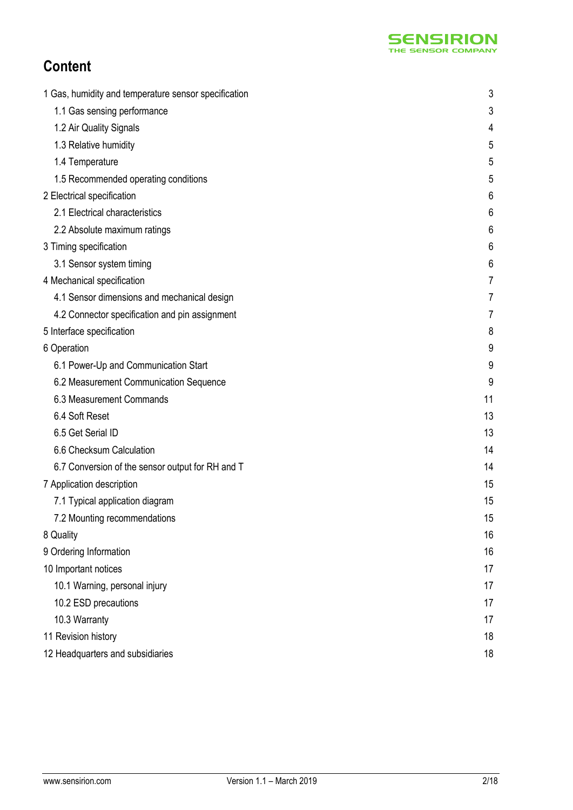

# **Content**

| 1 Gas, humidity and temperature sensor specification | 3  |
|------------------------------------------------------|----|
| 1.1 Gas sensing performance                          | 3  |
| 1.2 Air Quality Signals                              | 4  |
| 1.3 Relative humidity                                | 5  |
| 1.4 Temperature                                      | 5  |
| 1.5 Recommended operating conditions                 | 5  |
| 2 Electrical specification                           | 6  |
| 2.1 Electrical characteristics                       | 6  |
| 2.2 Absolute maximum ratings                         | 6  |
| 3 Timing specification                               | 6  |
| 3.1 Sensor system timing                             | 6  |
| 4 Mechanical specification                           | 7  |
| 4.1 Sensor dimensions and mechanical design          | 7  |
| 4.2 Connector specification and pin assignment       | 7  |
| 5 Interface specification                            | 8  |
| 6 Operation                                          | 9  |
| 6.1 Power-Up and Communication Start                 | 9  |
| 6.2 Measurement Communication Sequence               | 9  |
| 6.3 Measurement Commands                             | 11 |
| 6.4 Soft Reset                                       | 13 |
| 6.5 Get Serial ID                                    | 13 |
| 6.6 Checksum Calculation                             | 14 |
| 6.7 Conversion of the sensor output for RH and T     | 14 |
| 7 Application description                            | 15 |
| 7.1 Typical application diagram                      | 15 |
| 7.2 Mounting recommendations                         | 15 |
| 8 Quality                                            | 16 |
| 9 Ordering Information                               | 16 |
| 10 Important notices                                 | 17 |
| 10.1 Warning, personal injury                        | 17 |
| 10.2 ESD precautions                                 | 17 |
| 10.3 Warranty                                        | 17 |
| 11 Revision history                                  | 18 |
| 12 Headquarters and subsidiaries                     | 18 |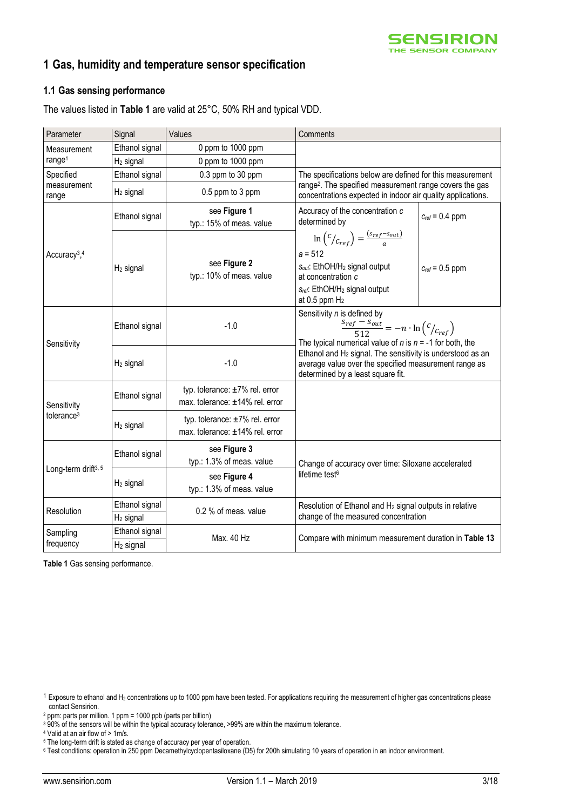

# **1 Gas, humidity and temperature sensor specification**

#### **1.1 Gas sensing performance**

The values listed in **[Table 1](#page-2-0)** are valid at 25°C, 50% RH and typical VDD.

| Parameter                            | Signal                | Values                                                                  | Comments                                                                                                                                                                                                                                                                                                                                             |                     |  |  |
|--------------------------------------|-----------------------|-------------------------------------------------------------------------|------------------------------------------------------------------------------------------------------------------------------------------------------------------------------------------------------------------------------------------------------------------------------------------------------------------------------------------------------|---------------------|--|--|
| Measurement                          | Ethanol signal        | 0 ppm to 1000 ppm                                                       |                                                                                                                                                                                                                                                                                                                                                      |                     |  |  |
| range <sup>1</sup>                   | $H2$ signal           | 0 ppm to 1000 ppm                                                       |                                                                                                                                                                                                                                                                                                                                                      |                     |  |  |
| Specified<br>Ethanol signal          |                       | 0.3 ppm to 30 ppm                                                       | The specifications below are defined for this measurement                                                                                                                                                                                                                                                                                            |                     |  |  |
| measurement<br>range                 | $H_2$ signal          | 0.5 ppm to 3 ppm                                                        | range <sup>2</sup> . The specified measurement range covers the gas<br>concentrations expected in indoor air quality applications.                                                                                                                                                                                                                   |                     |  |  |
|                                      | Ethanol signal        | see Figure 1<br>typ.: 15% of meas. value                                | Accuracy of the concentration c<br>determined by                                                                                                                                                                                                                                                                                                     | $C_{ref} = 0.4$ ppm |  |  |
| Accuracy <sup>3</sup> , <sup>4</sup> | $H_2$ signal          | see Figure 2<br>typ.: 10% of meas. value                                | $\ln\left(\frac{c}{c_{ref}}\right) = \frac{(s_{ref}-s_{out})}{a}$<br>$a = 512$<br>Sout: EthOH/H <sub>2</sub> signal output<br>at concentration c<br>Sref. EthOH/H <sub>2</sub> signal output<br>at $0.5$ ppm $H2$                                                                                                                                    | $C_{ref} = 0.5$ ppm |  |  |
| Sensitivity                          | Ethanol signal        | $-1.0$                                                                  | Sensitivity n is defined by<br>$\frac{s_{ref} - s_{out}}{512} = -n \cdot \ln \left( \frac{c}{c_{ref}} \right)$<br>The typical numerical value of n is $n = -1$ for both, the<br>Ethanol and H <sub>2</sub> signal. The sensitivity is understood as an<br>average value over the specified measurement range as<br>determined by a least square fit. |                     |  |  |
|                                      | $H2$ signal           | $-1.0$                                                                  |                                                                                                                                                                                                                                                                                                                                                      |                     |  |  |
| Sensitivity                          | Ethanol signal        | typ. tolerance: $\pm 7\%$ rel. error<br>max. tolerance: ±14% rel. error |                                                                                                                                                                                                                                                                                                                                                      |                     |  |  |
| tolerance <sup>3</sup>               | $H2$ signal           | typ. tolerance: ±7% rel. error<br>max. tolerance: ±14% rel. error       |                                                                                                                                                                                                                                                                                                                                                      |                     |  |  |
| Long-term drift <sup>3, 5</sup>      | Ethanol signal        | see Figure 3<br>typ.: 1.3% of meas. value                               | Change of accuracy over time: Siloxane accelerated                                                                                                                                                                                                                                                                                                   |                     |  |  |
|                                      | $H_2$ signal          | see Figure 4<br>typ.: 1.3% of meas. value                               | lifetime test <sup>6</sup>                                                                                                                                                                                                                                                                                                                           |                     |  |  |
| Resolution                           | Ethanol signal        | 0.2 % of meas. value                                                    | Resolution of Ethanol and H <sub>2</sub> signal outputs in relative<br>change of the measured concentration                                                                                                                                                                                                                                          |                     |  |  |
|                                      | $H_2$ signal          |                                                                         |                                                                                                                                                                                                                                                                                                                                                      |                     |  |  |
| Sampling                             | Ethanol signal        | Max. 40 Hz                                                              | Compare with minimum measurement duration in Table 13                                                                                                                                                                                                                                                                                                |                     |  |  |
| frequency                            | H <sub>2</sub> signal |                                                                         |                                                                                                                                                                                                                                                                                                                                                      |                     |  |  |

<span id="page-2-0"></span>**Table 1** Gas sensing performance.

 $1$  Exposure to ethanol and H<sub>2</sub> concentrations up to 1000 ppm have been tested. For applications requiring the measurement of higher gas concentrations please contact Sensirion.

<sup>2</sup> ppm: parts per million. 1 ppm = 1000 ppb (parts per billion)

<sup>3</sup> 90% of the sensors will be within the typical accuracy tolerance, >99% are within the maximum tolerance.

<sup>4</sup> Valid at an air flow of > 1m/s.

<sup>&</sup>lt;sup>5</sup> The long-term drift is stated as change of accuracy per year of operation.

<sup>6</sup> Test conditions: operation in 250 ppm Decamethylcyclopentasiloxane (D5) for 200h simulating 10 years of operation in an indoor environment.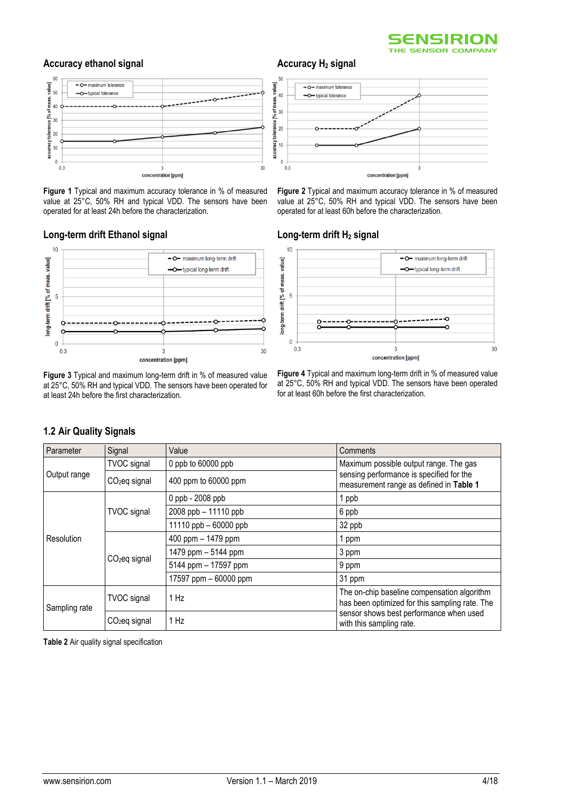

#### **Accuracy ethanol signal**



<span id="page-3-0"></span>**Figure 1** Typical and maximum accuracy tolerance in % of measured value at 25°C, 50% RH and typical VDD. The sensors have been operated for at least 24h before the characterization.

#### **Long-term drift Ethanol signal**

**1.2 Air Quality Signals**



<span id="page-3-2"></span>**Figure 3** Typical and maximum long-term drift in % of measured value at 25°C, 50% RH and typical VDD. The sensors have been operated for at least 24h before the first characterization.

### **Accuracy H<sup>2</sup> signal**



<span id="page-3-1"></span>**Figure 2** Typical and maximum accuracy tolerance in % of measured value at 25°C, 50% RH and typical VDD. The sensors have been operated for at least 60h before the characterization.

#### **Long-term drift H<sup>2</sup> signal**



<span id="page-3-3"></span>**Figure 4** Typical and maximum long-term drift in % of measured value at 25°C, 50% RH and typical VDD. The sensors have been operated for at least 60h before the first characterization.

| Parameter     | Signal                  | Value                     | Comments                                                                                      |
|---------------|-------------------------|---------------------------|-----------------------------------------------------------------------------------------------|
|               | <b>TVOC</b> signal      | 0 ppb to $60000$ ppb      | Maximum possible output range. The gas                                                        |
| Output range  | $CO2$ eq signal         | 400 ppm to 60000 ppm      | sensing performance is specified for the<br>measurement range as defined in Table 1           |
|               |                         | 0 ppb - 2008 ppb          | 1 ppb                                                                                         |
|               | <b>TVOC</b> signal      | 2008 ppb - 11110 ppb      | 6 ppb                                                                                         |
|               |                         | 11110 $ppb - 60000$ $ppb$ | 32 ppb                                                                                        |
| Resolution    | $CO2$ eq signal         | 400 ppm - 1479 ppm        | 1 ppm                                                                                         |
|               |                         | 1479 ppm - 5144 ppm       | 3 ppm                                                                                         |
|               |                         | 5144 ppm - 17597 ppm      | $9$ ppm                                                                                       |
|               |                         | 17597 ppm $-60000$ ppm    | 31 ppm                                                                                        |
| Sampling rate | <b>TVOC</b> signal      | 1 Hz                      | The on-chip baseline compensation algorithm<br>has been optimized for this sampling rate. The |
|               | 1 Hz<br>$CO2$ eq signal |                           | sensor shows best performance when used<br>with this sampling rate.                           |

#### **Table 2** Air quality signal specification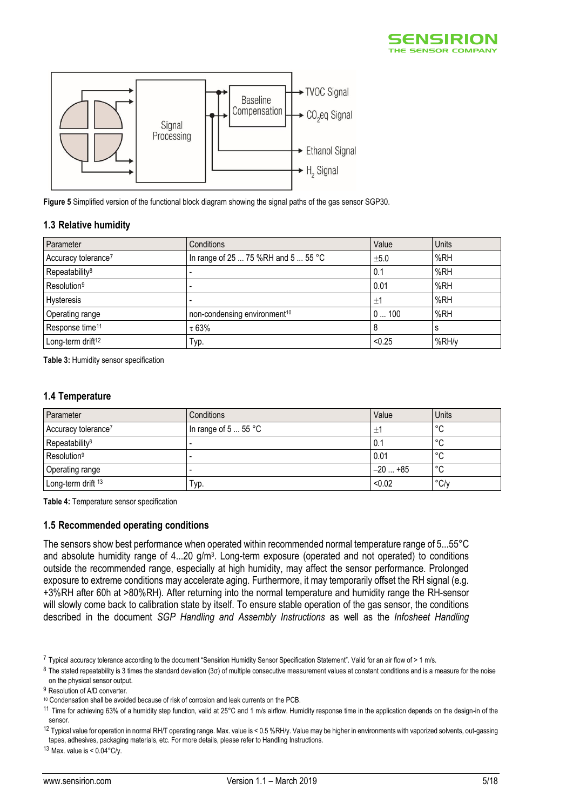



<span id="page-4-2"></span>**Figure 5** Simplified version of the functional block diagram showing the signal paths of the gas sensor SGP30.

#### **1.3 Relative humidity**

<span id="page-4-1"></span><span id="page-4-0"></span>

| Parameter                       | Conditions                               | Value  | Units |
|---------------------------------|------------------------------------------|--------|-------|
| Accuracy tolerance <sup>7</sup> | In range of 25  75 %RH and 5  55 °C      | ±5.0   | %RH   |
| Repeatability <sup>8</sup>      |                                          | 0.1    | %RH   |
| Resolution <sup>9</sup>         |                                          | 0.01   | %RH   |
| Hysteresis                      |                                          | $\pm$  | %RH   |
| Operating range                 | non-condensing environment <sup>10</sup> | 0100   | %RH   |
| Response time <sup>11</sup>     | $\tau$ 63%                               | 8      | s     |
| Long-term drift <sup>12</sup>   | Typ.                                     | < 0.25 | %RH/y |

**Table 3:** Humidity sensor specification

#### **1.4 Temperature**

| Parameter                       | Conditions           | Value         | Units         |
|---------------------------------|----------------------|---------------|---------------|
| Accuracy tolerance <sup>7</sup> | In range of $555$ °C | 士             | °C            |
| Repeatability <sup>8</sup>      |                      | $^{\circ}$ 0. | $\circ$<br>◡  |
| Resolution <sup>9</sup>         |                      | 0.01          | $\circ$<br>◡  |
| Operating range                 |                      | $-20+85$      | $\circ$<br>◡  |
| Long-term drift 13              | Typ.                 | < 0.02        | $\degree$ C/y |

**Table 4:** Temperature sensor specification

#### **1.5 Recommended operating conditions**

The sensors show best performance when operated within recommended normal temperature range of 5...55°C and absolute humidity range of 4...20 g/m<sup>3</sup>. Long-term exposure (operated and not operated) to conditions outside the recommended range, especially at high humidity, may affect the sensor performance. Prolonged exposure to extreme conditions may accelerate aging. Furthermore, it may temporarily offset the RH signal (e.g. +3%RH after 60h at >80%RH). After returning into the normal temperature and humidity range the RH-sensor will slowly come back to calibration state by itself. To ensure stable operation of the gas sensor, the conditions described in the document *SGP Handling and Assembly Instructions* as well as the *Infosheet Handling* 

 $12$  Typical value for operation in normal RH/T operating range. Max. value is < 0.5 %RH/y. Value may be higher in environments with vaporized solvents, out-gassing tapes, adhesives, packaging materials, etc. For more details, please refer to Handling Instructions.

 $13$  Max. value is <  $0.04^{\circ}$ C/y.

<sup>7</sup> Typical accuracy tolerance according to the document "Sensirion Humidity Sensor Specification Statement". Valid for an air flow of > 1 m/s.

<sup>8</sup> The stated repeatability is 3 times the standard deviation (3σ) of multiple consecutive measurement values at constant conditions and is a measure for the noise on the physical sensor output.

<sup>&</sup>lt;sup>9</sup> Resolution of A/D converter

<sup>10</sup> Condensation shall be avoided because of risk of corrosion and leak currents on the PCB.

 $11$  Time for achieving 63% of a humidity step function, valid at 25°C and 1 m/s airflow. Humidity response time in the application depends on the design-in of the sensor.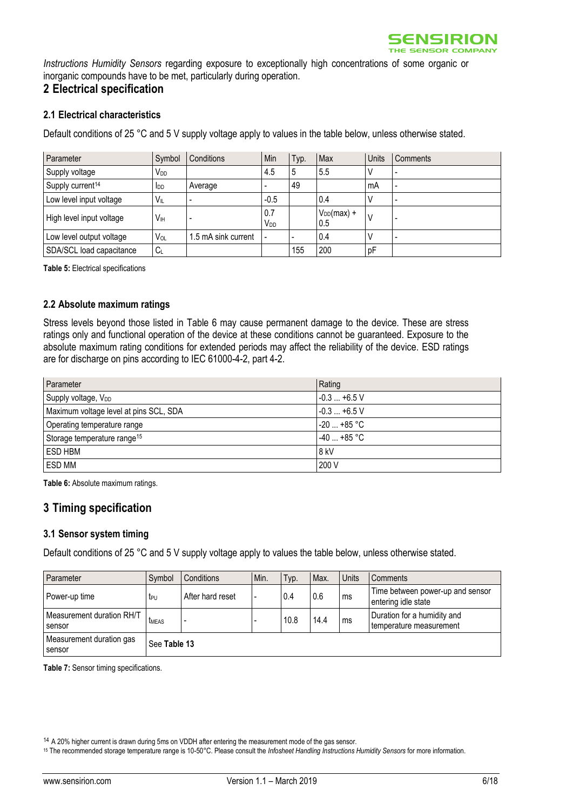

*Instructions Humidity Sensors* regarding exposure to exceptionally high concentrations of some organic or inorganic compounds have to be met, particularly during operation.

### **2 Electrical specification**

#### **2.1 Electrical characteristics**

Default conditions of 25 °C and 5 V supply voltage apply to values in the table below, unless otherwise stated.

| Parameter                    | Symbol          | Conditions          | Min                    | Typ. | Max                    | Units | Comments                 |
|------------------------------|-----------------|---------------------|------------------------|------|------------------------|-------|--------------------------|
| Supply voltage               | V <sub>DD</sub> |                     | 4.5                    | 5    | 5.5                    | V     |                          |
| Supply current <sup>14</sup> | <b>I</b> DD     | Average             |                        | 49   |                        | mA    | $\overline{\phantom{a}}$ |
| Low level input voltage      | $V_{IL}$        |                     | $-0.5$                 |      | 0.4                    |       |                          |
| High level input voltage     | Vн              |                     | 0.7<br>V <sub>DD</sub> |      | $V_{DD}(max) +$<br>0.5 | ν     |                          |
| Low level output voltage     | V <sub>OL</sub> | 1.5 mA sink current |                        |      | 0.4                    |       |                          |
| SDA/SCL load capacitance     | $C_L$           |                     |                        | 155  | 200                    | pF    |                          |

<span id="page-5-2"></span>**Table 5:** Electrical specifications

#### **2.2 Absolute maximum ratings**

Stress levels beyond those listed in [Table 6](#page-5-0) may cause permanent damage to the device. These are stress ratings only and functional operation of the device at these conditions cannot be guaranteed. Exposure to the absolute maximum rating conditions for extended periods may affect the reliability of the device. ESD ratings are for discharge on pins according to IEC 61000-4-2, part 4-2.

| Parameter                               | Rating         |
|-----------------------------------------|----------------|
| Supply voltage, V <sub>DD</sub>         | $-0.3+6.5$ V   |
| Maximum voltage level at pins SCL, SDA  | $-0.3+6.5$ V   |
| Operating temperature range             | $-20$ $+85$ °C |
| Storage temperature range <sup>15</sup> | $-40+85$ °C    |
| ESD HBM                                 | 8 kV           |
| ESD MM                                  | 200 V          |

<span id="page-5-0"></span>**Table 6:** Absolute maximum ratings.

### **3 Timing specification**

#### **3.1 Sensor system timing**

Default conditions of 25 °C and 5 V supply voltage apply to values the table below, unless otherwise stated.

| Parameter                           | Symbol          | Conditions       | Min. | Typ. | Max. | Units | Comments                                                |
|-------------------------------------|-----------------|------------------|------|------|------|-------|---------------------------------------------------------|
| Power-up time                       | t <sub>PU</sub> | After hard reset |      | 0.4  | 0.6  | ms    | Time between power-up and sensor<br>entering idle state |
| Measurement duration RH/T<br>sensor | <b>TMEAS</b>    | -                |      | 10.8 | 14.4 | ms    | Duration for a humidity and<br>temperature measurement  |
| Measurement duration gas<br>sensor  | See Table 13    |                  |      |      |      |       |                                                         |

<span id="page-5-1"></span>**Table 7:** Sensor timing specifications.

<sup>14</sup> A 20% higher current is drawn during 5ms on VDDH after entering the measurement mode of the gas sensor.

<sup>15</sup> The recommended storage temperature range is 10-50°C. Please consult the *Infosheet Handling Instructions Humidity Sensors* for more information.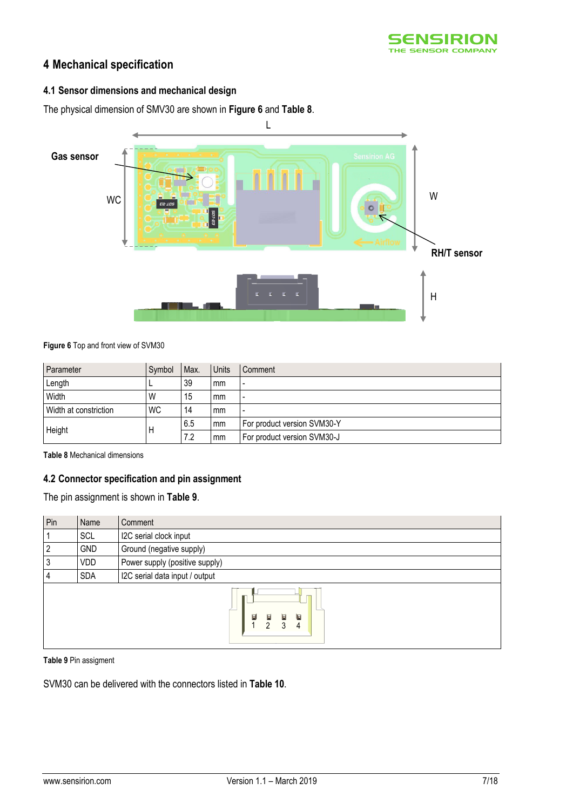

# **4 Mechanical specification**

### **4.1 Sensor dimensions and mechanical design**

The physical dimension of SMV30 are shown in **[Figure 6](#page-6-0)** and **[Table 8](#page-6-1)**.



<span id="page-6-0"></span>**Figure 6** Top and front view of SVM30

| Parameter             | Symbol    | Max. | Units | Comment                     |
|-----------------------|-----------|------|-------|-----------------------------|
| Length                |           | 39   | mm    | $\overline{a}$              |
| Width                 | W         | 15   | mm    | $\overline{\phantom{0}}$    |
| Width at constriction | <b>WC</b> | 14   | mm    | $\overline{a}$              |
|                       |           | 6.5  | mm    | For product version SVM30-Y |
| Height                |           | 7.2  | mm    | For product version SVM30-J |

<span id="page-6-1"></span>**Table 8** Mechanical dimensions

### **4.2 Connector specification and pin assignment**

The pin assignment is shown in **[Table 9](#page-6-2)**.

| Pin | Name       | Comment                                              |
|-----|------------|------------------------------------------------------|
|     | SCL        | I2C serial clock input                               |
| 2   | <b>GND</b> | Ground (negative supply)                             |
| 3   | <b>VDD</b> | Power supply (positive supply)                       |
| 4   | <b>SDA</b> | I2C serial data input / output                       |
|     |            | 冒<br>圓<br>$\mathbf F$<br>Ы<br><sup>2</sup><br>3<br>4 |

<span id="page-6-2"></span>**Table 9** Pin assigment

SVM30 can be delivered with the connectors listed in **[Table 10](#page-7-0)**.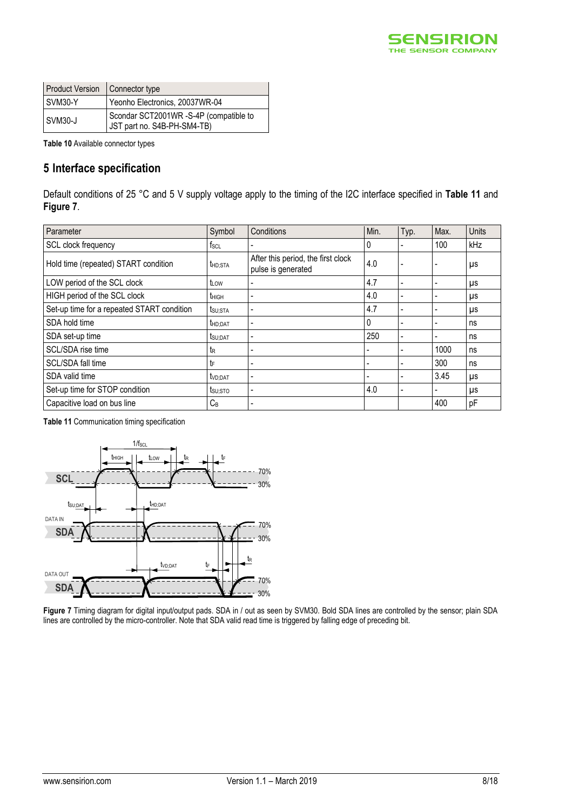

| <b>Product Version</b> | Connector type                                                        |
|------------------------|-----------------------------------------------------------------------|
| SVM30-Y                | Yeonho Electronics, 20037WR-04                                        |
| SVM30-J                | Scondar SCT2001WR -S-4P (compatible to<br>JST part no. S4B-PH-SM4-TB) |

<span id="page-7-0"></span>**Table 10** Available connector types

# **5 Interface specification**

Default conditions of 25 °C and 5 V supply voltage apply to the timing of the I2C interface specified in **[Table 11](#page-7-1)** and **[Figure 7](#page-7-2)**.

| Parameter                                  | Symbol              | Conditions                                               | Min. | Typ.                     | Max. | Units |
|--------------------------------------------|---------------------|----------------------------------------------------------|------|--------------------------|------|-------|
| SCL clock frequency                        | $f_{SCL}$           |                                                          | 0    |                          | 100  | kHz   |
| Hold time (repeated) START condition       | t <sub>HD:STA</sub> | After this period, the first clock<br>pulse is generated | 4.0  | ٠                        |      | μs    |
| LOW period of the SCL clock                | tLOW                | ٠                                                        | 4.7  | ٠                        |      | μs    |
| HIGH period of the SCL clock               | t <sub>HIGH</sub>   | $\blacksquare$                                           | 4.0  | $\overline{\phantom{a}}$ | ۰    | μs    |
| Set-up time for a repeated START condition | t <sub>SU;STA</sub> | ٠                                                        | 4.7  |                          |      | μs    |
| SDA hold time                              | thd:DAT             | ٠                                                        | 0    |                          |      | ns    |
| SDA set-up time                            | tsu;DAT             | ٠                                                        | 250  | $\overline{\phantom{a}}$ | ۰    | ns    |
| SCL/SDA rise time                          | te                  | ٠                                                        |      |                          | 1000 | ns    |
| SCL/SDA fall time                          | tF                  | ۰                                                        |      |                          | 300  | ns    |
| SDA valid time                             | t <sub>VD:DAT</sub> | ٠                                                        |      | -                        | 3.45 | μs    |
| Set-up time for STOP condition             | tsu;sto             | ٠                                                        | 4.0  |                          |      | μs    |
| Capacitive load on bus line                | $C_B$               | $\overline{\phantom{0}}$                                 |      |                          | 400  | pF    |

<span id="page-7-1"></span>**Table 11** Communication timing specification



<span id="page-7-2"></span>**Figure 7** Timing diagram for digital input/output pads. SDA in / out as seen by SVM30. Bold SDA lines are controlled by the sensor; plain SDA lines are controlled by the micro-controller. Note that SDA valid read time is triggered by falling edge of preceding bit.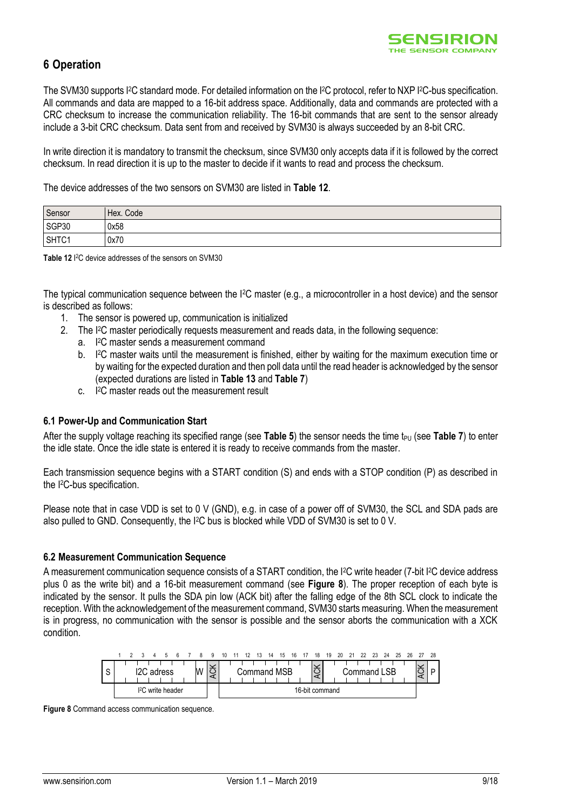# **6 Operation**

The SVM30 supports I<sup>2</sup>C standard mode. For detailed information on the I<sup>2</sup>C protocol, refer to NXP I<sup>2</sup>C-bus specification. All commands and data are mapped to a 16-bit address space. Additionally, data and commands are protected with a CRC checksum to increase the communication reliability. The 16-bit commands that are sent to the sensor already include a 3-bit CRC checksum. Data sent from and received by SVM30 is always succeeded by an 8-bit CRC.

In write direction it is mandatory to transmit the checksum, since SVM30 only accepts data if it is followed by the correct checksum. In read direction it is up to the master to decide if it wants to read and process the checksum.

The device addresses of the two sensors on SVM30 are listed in **[Table 12](#page-8-0)**.

| Sensor | Hex. Code |
|--------|-----------|
| SGP30  | 0x58      |
| SHTC1  | 0x70      |

<span id="page-8-0"></span>Table 12<sup>12</sup>C device addresses of the sensors on SVM30

The typical communication sequence between the I2C master (e.g., a microcontroller in a host device) and the sensor is described as follows:

- 1. The sensor is powered up, communication is initialized
- 2. The I2C master periodically requests measurement and reads data, in the following sequence:
	- a. I <sup>2</sup>C master sends a measurement command
	- $h$ <sup>2</sup>C master waits until the measurement is finished, either by waiting for the maximum execution time or by waiting for the expected duration and then poll data until the read header is acknowledged by the sensor (expected durations are listed in **[Table 13](#page-10-0)** and **[Table 7](#page-5-1)**)
	- c. <sup>2</sup>C master reads out the measurement result

#### **6.1 Power-Up and Communication Start**

After the supply voltage reaching its specified range (see **[Table 5](#page-5-2)**) the sensor needs the time t<sub>PU</sub> (see **[Table 7](#page-5-1)**) to enter the idle state. Once the idle state is entered it is ready to receive commands from the master.

Each transmission sequence begins with a START condition (S) and ends with a STOP condition (P) as described in the I2C-bus specification.

Please note that in case VDD is set to 0 V (GND), e.g. in case of a power off of SVM30, the SCL and SDA pads are also pulled to GND. Consequently, the I2C bus is blocked while VDD of SVM30 is set to 0 V.

#### **6.2 Measurement Communication Sequence**

A measurement communication sequence consists of a START condition, the I2C write header (7-bit I2C device address plus 0 as the write bit) and a 16-bit measurement command (see **[Figure 8](#page-8-1)**). The proper reception of each byte is indicated by the sensor. It pulls the SDA pin low (ACK bit) after the falling edge of the 8th SCL clock to indicate the reception. With the acknowledgement of the measurement command, SVM30 starts measuring. When the measurement is in progress, no communication with the sensor is possible and the sensor aborts the communication with a XCK condition.



<span id="page-8-1"></span>**Figure 8** Command access communication sequence.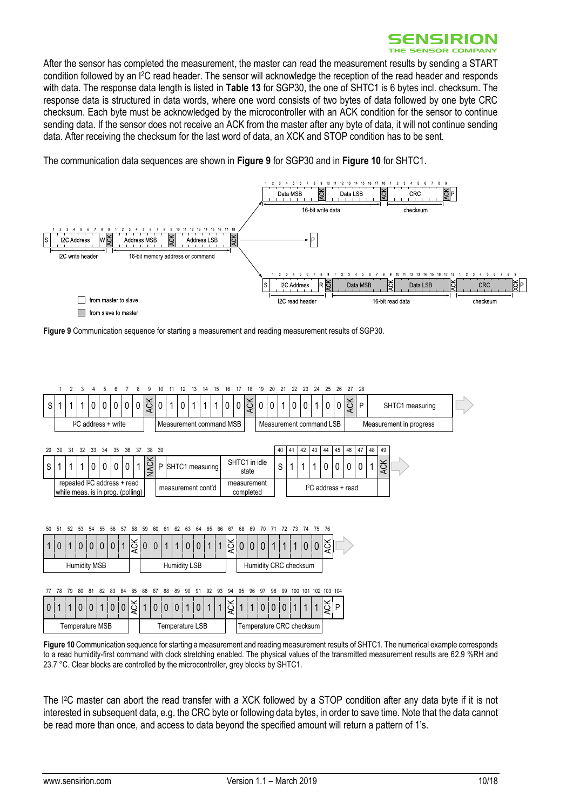

After the sensor has completed the measurement, the master can read the measurement results by sending a START condition followed by an I2C read header. The sensor will acknowledge the reception of the read header and responds with data. The response data length is listed in **[Table 13](#page-10-0)** for SGP30, the one of SHTC1 is 6 bytes incl. checksum. The response data is structured in data words, where one word consists of two bytes of data followed by one byte CRC checksum. Each byte must be acknowledged by the microcontroller with an ACK condition for the sensor to continue sending data. If the sensor does not receive an ACK from the master after any byte of data, it will not continue sending data. After receiving the checksum for the last word of data, an XCK and STOP condition has to be sent.

The communication data sequences are shown in **[Figure 9](#page-9-0)** for SGP30 and in **[Figure 10](#page-9-1)** for SHTC1.



<span id="page-9-0"></span>**Figure 9** Communication sequence for starting a measurement and reading measurement results of SGP30.



<span id="page-9-1"></span>**Figure 10** Communication sequence for starting a measurement and reading measurement results of SHTC1. The numerical example corresponds to a read humidity-first command with clock stretching enabled. The physical values of the transmitted measurement results are 62.9 %RH and 23.7 °C. Clear blocks are controlled by the microcontroller, grey blocks by SHTC1.

The I2C master can abort the read transfer with a XCK followed by a STOP condition after any data byte if it is not interested in subsequent data, e.g. the CRC byte or following data bytes, in order to save time. Note that the data cannot be read more than once, and access to data beyond the specified amount will return a pattern of 1's.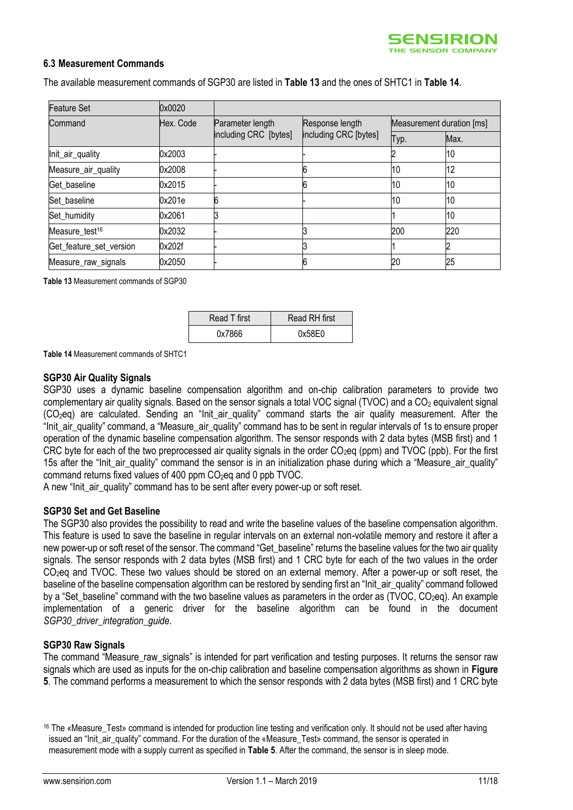

#### **6.3 Measurement Commands**

The available measurement commands of SGP30 are listed in **[Table 13](#page-10-0)** and the ones of SHTC1 in **[Table 14](#page-10-1)**.

| <b>Feature Set</b>         | 0x0020    |                       |                                          |                           |      |
|----------------------------|-----------|-----------------------|------------------------------------------|---------------------------|------|
| Command                    | Hex. Code | Parameter length      | Response length<br>including CRC [bytes] | Measurement duration [ms] |      |
|                            |           | including CRC [bytes] |                                          | Typ.                      | Max. |
| Init_air_quality           | 0x2003    |                       |                                          |                           | 10   |
| Measure_air_quality        | 0x2008    |                       |                                          | 10                        | 12   |
| Get baseline               | 0x2015    |                       |                                          | 10                        | 10   |
| Set baseline               | 0x201e    | 6                     |                                          | 10                        | 10   |
| Set_humidity               | 0x2061    |                       |                                          |                           | 10   |
| Measure test <sup>16</sup> | 0x2032    |                       |                                          | 200                       | 220  |
| Get_feature_set_version    | 0x202f    |                       |                                          |                           |      |
| Measure_raw_signals        | 0x2050    |                       |                                          | 20                        | 25   |

<span id="page-10-0"></span>**Table 13** Measurement commands of SGP30

| Read T first | Read RH first |
|--------------|---------------|
| 0x7866       | 0x58E0        |

<span id="page-10-1"></span>**Table 14** Measurement commands of SHTC1

#### **SGP30 Air Quality Signals**

SGP30 uses a dynamic baseline compensation algorithm and on-chip calibration parameters to provide two complementary air quality signals. Based on the sensor signals a total VOC signal (TVOC) and a CO<sub>2</sub> equivalent signal (CO2eq) are calculated. Sending an "Init\_air\_quality" command starts the air quality measurement. After the "Init\_air\_quality" command, a "Measure\_air\_quality" command has to be sent in regular intervals of 1s to ensure proper operation of the dynamic baseline compensation algorithm. The sensor responds with 2 data bytes (MSB first) and 1 CRC byte for each of the two preprocessed air quality signals in the order  $CO<sub>2</sub>$ eq (ppm) and TVOC (ppb). For the first 15s after the "Init air quality" command the sensor is in an initialization phase during which a "Measure air quality" command returns fixed values of 400 ppm CO<sub>2</sub>eq and 0 ppb TVOC.

A new "Init air quality" command has to be sent after every power-up or soft reset.

#### **SGP30 Set and Get Baseline**

The SGP30 also provides the possibility to read and write the baseline values of the baseline compensation algorithm. This feature is used to save the baseline in regular intervals on an external non-volatile memory and restore it after a new power-up or soft reset of the sensor. The command "Get baseline" returns the baseline values for the two air quality signals. The sensor responds with 2 data bytes (MSB first) and 1 CRC byte for each of the two values in the order CO<sub>2</sub>eq and TVOC. These two values should be stored on an external memory. After a power-up or soft reset, the baseline of the baseline compensation algorithm can be restored by sending first an "Init\_air\_quality" command followed by a "Set\_baseline" command with the two baseline values as parameters in the order as (TVOC, CO<sub>2</sub>eq). An example implementation of a generic driver for the baseline algorithm can be found in the document *SGP30\_driver\_integration\_guide*.

#### **SGP30 Raw Signals**

The command "Measure\_raw\_signals" is intended for part verification and testing purposes. It returns the sensor raw signals which are used as inputs for the on-chip calibration and baseline compensation algorithms as shown in **[Figure](#page-4-2)  [5](#page-4-2)**. The command performs a measurement to which the sensor responds with 2 data bytes (MSB first) and 1 CRC byte

<sup>&</sup>lt;sup>16</sup> The «Measure\_Test» command is intended for production line testing and verification only. It should not be used after having issued an "Init\_air\_quality" command. For the duration of the «Measure\_Test» command, the sensor is operated in measurement mode with a supply current as specified in **[Table 5](#page-5-2)**. After the command, the sensor is in sleep mode.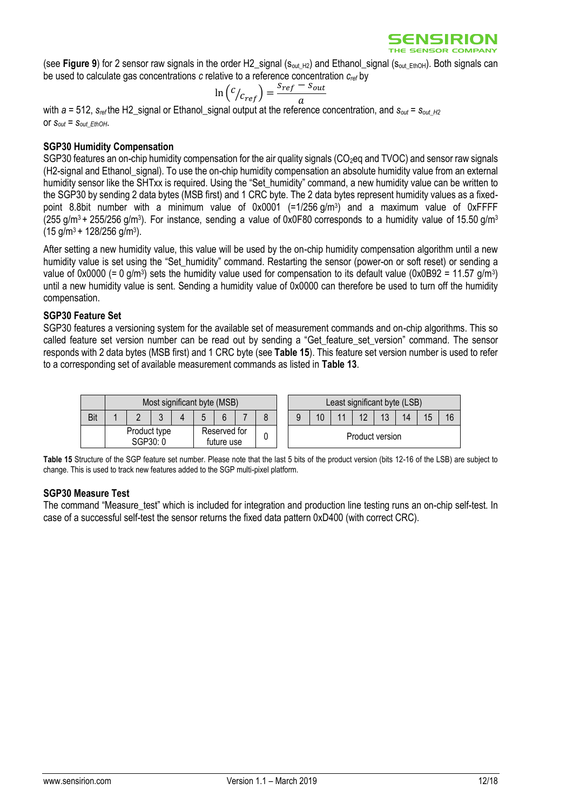(see **[Figure 9](#page-9-0)**) for 2 sensor raw signals in the order H2 signal ( $s_{\text{out H2}}$ ) and Ethanol signal ( $s_{\text{out EthOH}}$ ). Both signals can be used to calculate gas concentrations *c* relative to a reference concentration *cref* by

$$
\ln\left(\frac{c}{c_{ref}}\right) = \frac{s_{ref} - s_{out}}{a}
$$

with  $a = 512$ ,  $S_{ref}$  the H2 signal or Ethanol signal output at the reference concentration, and  $S_{out} = S_{out}$   $_{H2}$ or  $S_{out} = S_{out}$  *EthOH*.

#### **SGP30 Humidity Compensation**

SGP30 features an on-chip humidity compensation for the air quality signals (CO<sub>2</sub>eq and TVOC) and sensor raw signals (H2-signal and Ethanol\_signal). To use the on-chip humidity compensation an absolute humidity value from an external humidity sensor like the SHTxx is required. Using the "Set\_humidity" command, a new humidity value can be written to the SGP30 by sending 2 data bytes (MSB first) and 1 CRC byte. The 2 data bytes represent humidity values as a fixedpoint 8.8bit number with a minimum value of 0x0001 (=1/256 g/m<sup>3</sup>) and a maximum value of 0xFFFF (255 g/m<sup>3</sup> + 255/256 g/m<sup>3</sup>). For instance, sending a value of 0x0F80 corresponds to a humidity value of 15.50 g/m<sup>3</sup>  $(15 \text{ g/m}^3 + 128/256 \text{ g/m}^3).$ 

After setting a new humidity value, this value will be used by the on-chip humidity compensation algorithm until a new humidity value is set using the "Set\_humidity" command. Restarting the sensor (power-on or soft reset) or sending a value of 0x0000 (= 0 g/m<sup>3</sup>) sets the humidity value used for compensation to its default value (0x0B92 = 11.57 g/m<sup>3</sup>) until a new humidity value is sent. Sending a humidity value of 0x0000 can therefore be used to turn off the humidity compensation.

#### **SGP30 Feature Set**

SGP30 features a versioning system for the available set of measurement commands and on-chip algorithms. This so called feature set version number can be read out by sending a "Get feature set version" command. The sensor responds with 2 data bytes (MSB first) and 1 CRC byte (see **[Table 15](#page-11-0)**). This feature set version number is used to refer to a corresponding set of available measurement commands as listed in **[Table 13](#page-10-0)**.



<span id="page-11-0"></span>**Table 15** Structure of the SGP feature set number. Please note that the last 5 bits of the product version (bits 12-16 of the LSB) are subject to change. This is used to track new features added to the SGP multi-pixel platform.

#### **SGP30 Measure Test**

The command "Measure\_test" which is included for integration and production line testing runs an on-chip self-test. In case of a successful self-test the sensor returns the fixed data pattern 0xD400 (with correct CRC).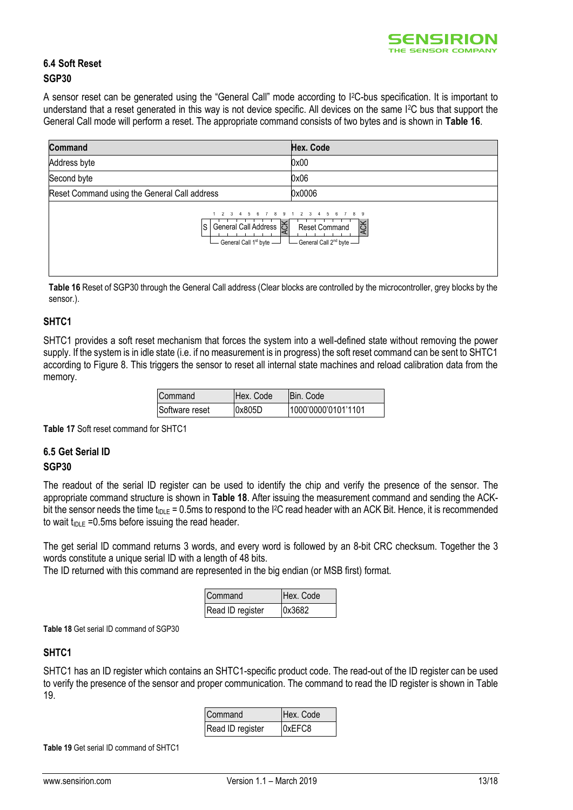

### **6.4 Soft Reset SGP30**

A sensor reset can be generated using the "General Call" mode according to I2C-bus specification. It is important to understand that a reset generated in this way is not device specific. All devices on the same I2C bus that support the General Call mode will perform a reset. The appropriate command consists of two bytes and is shown in **[Table 16](#page-12-0)**.

| <b>Command</b>                                                                                        | Hex. Code                                                                 |
|-------------------------------------------------------------------------------------------------------|---------------------------------------------------------------------------|
| Address byte                                                                                          | 0x00                                                                      |
| Second byte                                                                                           | 0x06                                                                      |
| Reset Command using the General Call address                                                          | 0x0006                                                                    |
| General Call Address $\left \sum_{n=1}^{\infty}\right $<br>ls.<br>General Call 1 <sup>st</sup> byte - | <b>ACK</b><br><b>Reset Command</b><br>General Call 2 <sup>nd</sup> byte - |

<span id="page-12-0"></span>Table 16 Reset of SGP30 through the General Call address (Clear blocks are controlled by the microcontroller, grey blocks by the sensor.).

#### **SHTC1**

SHTC1 provides a soft reset mechanism that forces the system into a well-defined state without removing the power supply. If the system is in idle state (i.e. if no measurement is in progress) the soft reset command can be sent to SHTC1 according to [Figure 8.](#page-8-1) This triggers the sensor to reset all internal state machines and reload calibration data from the memory.

| Command        | Hex. Code | IBin. Code          |
|----------------|-----------|---------------------|
| Software reset | 0x805D    | 1000'0000'0101'1101 |

**Table 17** Soft reset command for SHTC1

#### **6.5 Get Serial ID SGP30**

The readout of the serial ID register can be used to identify the chip and verify the presence of the sensor. The appropriate command structure is shown in **[Table 18](#page-12-1)**. After issuing the measurement command and sending the ACKbit the sensor needs the time  $t_{\text{DLE}} = 0.5$ ms to respond to the I<sup>2</sup>C read header with an ACK Bit. Hence, it is recommended to wait  $t_{\text{IDLE}} = 0.5 \text{ms}$  before issuing the read header.

The get serial ID command returns 3 words, and every word is followed by an 8-bit CRC checksum. Together the 3 words constitute a unique serial ID with a length of 48 bits.

The ID returned with this command are represented in the big endian (or MSB first) format.

| Command          | Hex. Code |
|------------------|-----------|
| Read ID register | 0x3682    |

<span id="page-12-1"></span>**Table 18** Get serial ID command of SGP30

### **SHTC1**

SHTC1 has an ID register which contains an SHTC1-specific product code. The read-out of the ID register can be used to verify the presence of the sensor and proper communication. The command to read the ID register is shown in [Table](#page-12-2)  [19.](#page-12-2)

| Command          | Hex. Code |
|------------------|-----------|
| Read ID register | 0xEFC8    |

<span id="page-12-2"></span>**Table 19** Get serial ID command of SHTC1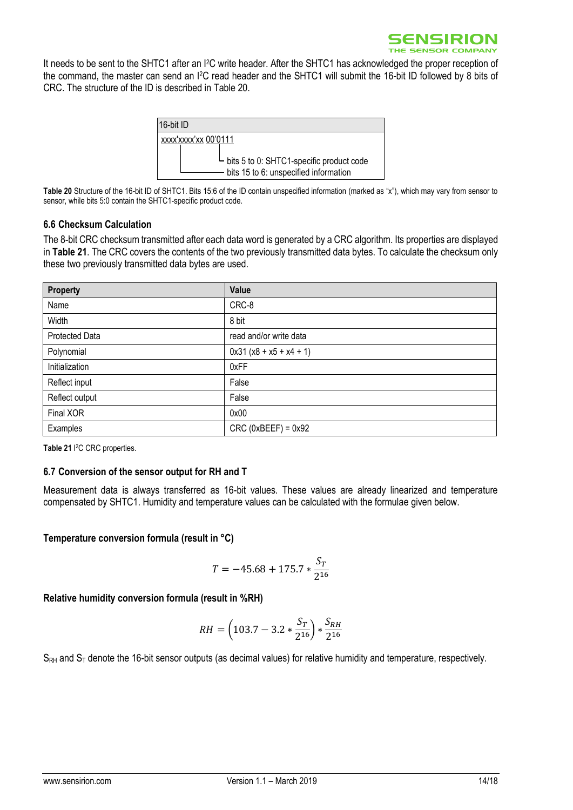It needs to be sent to the SHTC1 after an I2C write header. After the SHTC1 has acknowledged the proper reception of the command, the master can send an I2C read header and the SHTC1 will submit the 16-bit ID followed by 8 bits of CRC. The structure of the ID is described in [Table 20.](#page-13-0)



<span id="page-13-0"></span>**Table 20** Structure of the 16-bit ID of SHTC1. Bits 15:6 of the ID contain unspecified information (marked as "x"), which may vary from sensor to sensor, while bits 5:0 contain the SHTC1-specific product code.

#### **6.6 Checksum Calculation**

The 8-bit CRC checksum transmitted after each data word is generated by a CRC algorithm. Its properties are displayed in **[Table 21](#page-13-1)**. The CRC covers the contents of the two previously transmitted data bytes. To calculate the checksum only these two previously transmitted data bytes are used.

| <b>Property</b> | Value                     |
|-----------------|---------------------------|
| Name            | CRC-8                     |
| Width           | 8 bit                     |
| Protected Data  | read and/or write data    |
| Polynomial      | $0x31 (x8 + x5 + x4 + 1)$ |
| Initialization  | 0xFF                      |
| Reflect input   | False                     |
| Reflect output  | False                     |
| Final XOR       | 0x00                      |
| Examples        | $CRC$ (0xBEEF) = 0x92     |

<span id="page-13-1"></span>**Table 21** I <sup>2</sup>C CRC properties.

#### **6.7 Conversion of the sensor output for RH and T**

Measurement data is always transferred as 16-bit values. These values are already linearized and temperature compensated by SHTC1. Humidity and temperature values can be calculated with the formulae given below.

**Temperature conversion formula (result in °C)**

$$
T = -45.68 + 175.7 * \frac{S_T}{2^{16}}
$$

**Relative humidity conversion formula (result in %RH)**

$$
RH = \left(103.7 - 3.2 * \frac{S_T}{2^{16}}\right) * \frac{S_{RH}}{2^{16}}
$$

 $S_{RH}$  and  $S_T$  denote the 16-bit sensor outputs (as decimal values) for relative humidity and temperature, respectively.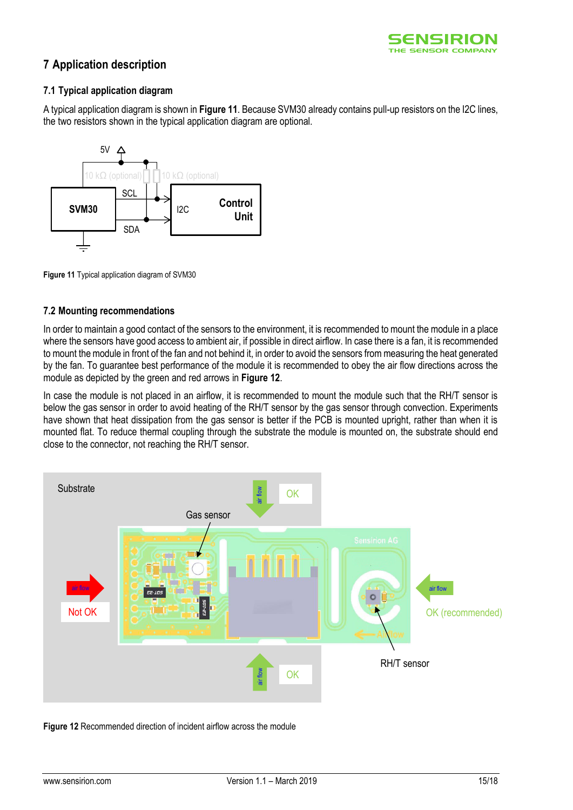

# **7 Application description**

### **7.1 Typical application diagram**

A typical application diagram is shown in **[Figure 11](#page-14-0)**. Because SVM30 already contains pull-up resistors on the I2C lines, the two resistors shown in the typical application diagram are optional.



<span id="page-14-0"></span>**Figure 11** Typical application diagram of SVM30

### **7.2 Mounting recommendations**

In order to maintain a good contact of the sensors to the environment, it is recommended to mount the module in a place where the sensors have good access to ambient air, if possible in direct airflow. In case there is a fan, it is recommended to mount the module in front of the fan and not behind it, in order to avoid the sensors from measuring the heat generated by the fan. To guarantee best performance of the module it is recommended to obey the air flow directions across the module as depicted by the green and red arrows in **[Figure 12](#page-14-1)**.

In case the module is not placed in an airflow, it is recommended to mount the module such that the RH/T sensor is below the gas sensor in order to avoid heating of the RH/T sensor by the gas sensor through convection. Experiments have shown that heat dissipation from the gas sensor is better if the PCB is mounted upright, rather than when it is mounted flat. To reduce thermal coupling through the substrate the module is mounted on, the substrate should end close to the connector, not reaching the RH/T sensor.



<span id="page-14-1"></span>**Figure 12** Recommended direction of incident airflow across the module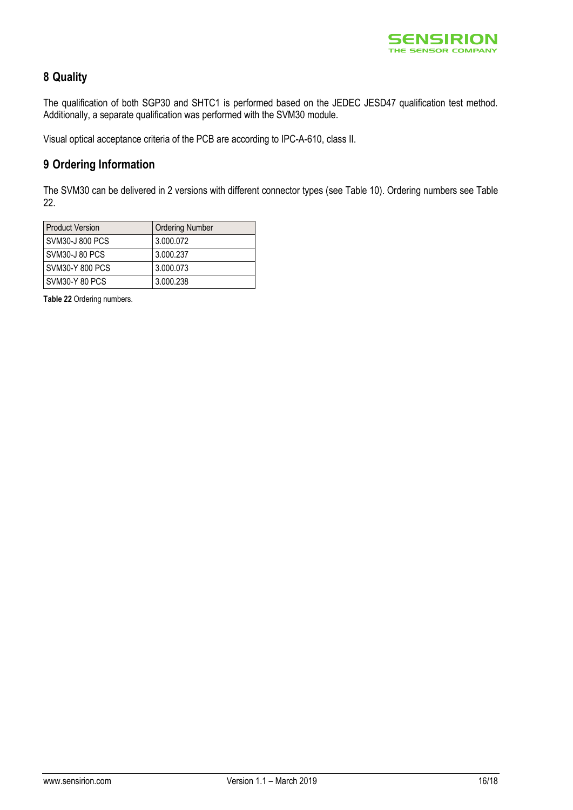

# **8 Quality**

The qualification of both SGP30 and SHTC1 is performed based on the JEDEC JESD47 qualification test method. Additionally, a separate qualification was performed with the SVM30 module.

Visual optical acceptance criteria of the PCB are according to IPC-A-610, class II.

# **9 Ordering Information**

The SVM30 can be delivered in 2 versions with different connector types (see [Table 10\)](#page-7-0). Ordering numbers see [Table](#page-15-0)  [22.](#page-15-0)

| <b>Product Version</b> | <b>Ordering Number</b> |
|------------------------|------------------------|
| SVM30-J 800 PCS        | 3.000.072              |
| SVM30-J 80 PCS         | 3.000.237              |
| <b>SVM30-Y 800 PCS</b> | 3.000.073              |
| SVM30-Y 80 PCS         | 3.000.238              |

<span id="page-15-0"></span>**Table 22** Ordering numbers.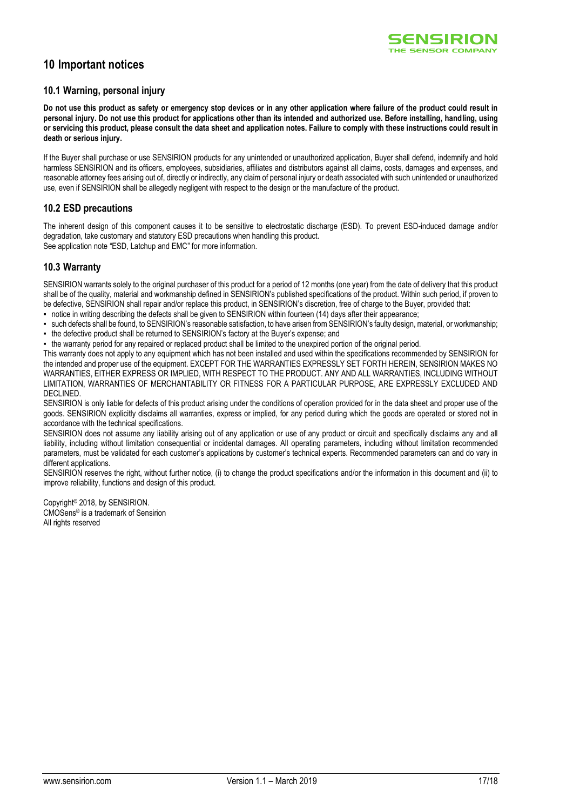

# **10 Important notices**

#### **10.1 Warning, personal injury**

**Do not use this product as safety or emergency stop devices or in any other application where failure of the product could result in personal injury. Do not use this product for applications other than its intended and authorized use. Before installing, handling, using or servicing this product, please consult the data sheet and application notes. Failure to comply with these instructions could result in death or serious injury.**

If the Buyer shall purchase or use SENSIRION products for any unintended or unauthorized application, Buyer shall defend, indemnify and hold harmless SENSIRION and its officers, employees, subsidiaries, affiliates and distributors against all claims, costs, damages and expenses, and reasonable attorney fees arising out of, directly or indirectly, any claim of personal injury or death associated with such unintended or unauthorized use, even if SENSIRION shall be allegedly negligent with respect to the design or the manufacture of the product.

#### **10.2 ESD precautions**

The inherent design of this component causes it to be sensitive to electrostatic discharge (ESD). To prevent ESD-induced damage and/or degradation, take customary and statutory ESD precautions when handling this product. See application note "ESD, Latchup and EMC" for more information.

#### **10.3 Warranty**

SENSIRION warrants solely to the original purchaser of this product for a period of 12 months (one year) from the date of delivery that this product shall be of the quality, material and workmanship defined in SENSIRION's published specifications of the product. Within such period, if proven to be defective, SENSIRION shall repair and/or replace this product, in SENSIRION's discretion, free of charge to the Buyer, provided that:

- notice in writing describing the defects shall be given to SENSIRION within fourteen (14) days after their appearance;
- such defects shall be found, to SENSIRION's reasonable satisfaction, to have arisen from SENSIRION's faulty design, material, or workmanship:
- the defective product shall be returned to SENSIRION's factory at the Buyer's expense; and
- the warranty period for any repaired or replaced product shall be limited to the unexpired portion of the original period.

This warranty does not apply to any equipment which has not been installed and used within the specifications recommended by SENSIRION for the intended and proper use of the equipment. EXCEPT FOR THE WARRANTIES EXPRESSLY SET FORTH HEREIN, SENSIRION MAKES NO WARRANTIES, EITHER EXPRESS OR IMPLIED, WITH RESPECT TO THE PRODUCT. ANY AND ALL WARRANTIES, INCLUDING WITHOUT LIMITATION, WARRANTIES OF MERCHANTABILITY OR FITNESS FOR A PARTICULAR PURPOSE, ARE EXPRESSLY EXCLUDED AND DECLINED.

SENSIRION is only liable for defects of this product arising under the conditions of operation provided for in the data sheet and proper use of the goods. SENSIRION explicitly disclaims all warranties, express or implied, for any period during which the goods are operated or stored not in accordance with the technical specifications.

SENSIRION does not assume any liability arising out of any application or use of any product or circuit and specifically disclaims any and all liability, including without limitation consequential or incidental damages. All operating parameters, including without limitation recommended parameters, must be validated for each customer's applications by customer's technical experts. Recommended parameters can and do vary in different applications.

SENSIRION reserves the right, without further notice, (i) to change the product specifications and/or the information in this document and (ii) to improve reliability, functions and design of this product.

Copyright© 2018, by SENSIRION. CMOSens® is a trademark of Sensirion All rights reserved